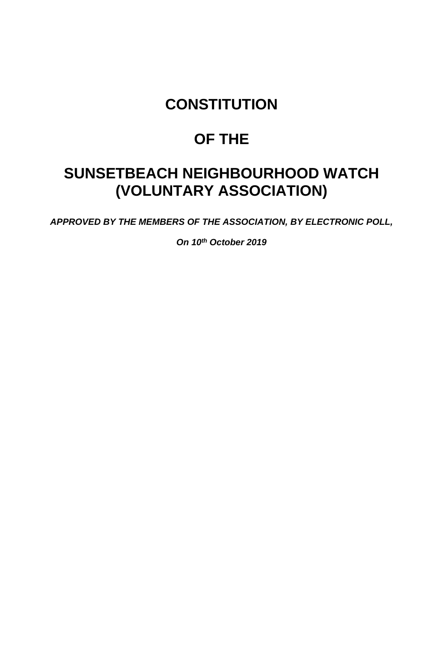### **CONSTITUTION**

# **OF THE**

## **SUNSETBEACH NEIGHBOURHOOD WATCH (VOLUNTARY ASSOCIATION)**

*APPROVED BY THE MEMBERS OF THE ASSOCIATION, BY ELECTRONIC POLL,* 

*On 10th October 2019*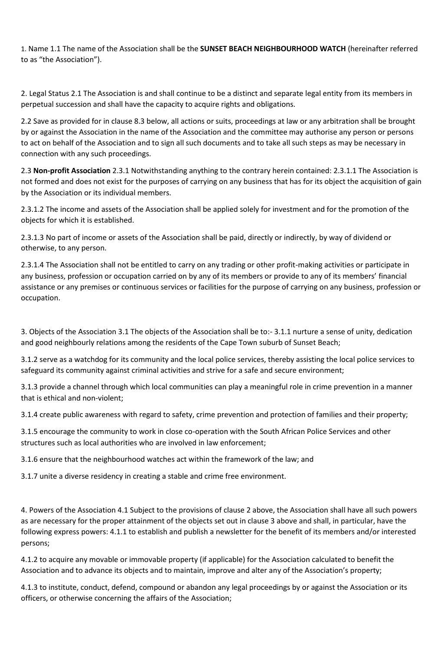1. Name 1.1 The name of the Association shall be the **SUNSET BEACH NEIGHBOURHOOD WATCH** (hereinafter referred to as "the Association").

2. Legal Status 2.1 The Association is and shall continue to be a distinct and separate legal entity from its members in perpetual succession and shall have the capacity to acquire rights and obligations.

2.2 Save as provided for in clause 8.3 below, all actions or suits, proceedings at law or any arbitration shall be brought by or against the Association in the name of the Association and the committee may authorise any person or persons to act on behalf of the Association and to sign all such documents and to take all such steps as may be necessary in connection with any such proceedings.

2.3 **Non-profit Association** 2.3.1 Notwithstanding anything to the contrary herein contained: 2.3.1.1 The Association is not formed and does not exist for the purposes of carrying on any business that has for its object the acquisition of gain by the Association or its individual members.

2.3.1.2 The income and assets of the Association shall be applied solely for investment and for the promotion of the objects for which it is established.

2.3.1.3 No part of income or assets of the Association shall be paid, directly or indirectly, by way of dividend or otherwise, to any person.

2.3.1.4 The Association shall not be entitled to carry on any trading or other profit-making activities or participate in any business, profession or occupation carried on by any of its members or provide to any of its members' financial assistance or any premises or continuous services or facilities for the purpose of carrying on any business, profession or occupation.

3. Objects of the Association 3.1 The objects of the Association shall be to:- 3.1.1 nurture a sense of unity, dedication and good neighbourly relations among the residents of the Cape Town suburb of Sunset Beach;

3.1.2 serve as a watchdog for its community and the local police services, thereby assisting the local police services to safeguard its community against criminal activities and strive for a safe and secure environment;

3.1.3 provide a channel through which local communities can play a meaningful role in crime prevention in a manner that is ethical and non-violent;

3.1.4 create public awareness with regard to safety, crime prevention and protection of families and their property;

3.1.5 encourage the community to work in close co-operation with the South African Police Services and other structures such as local authorities who are involved in law enforcement;

3.1.6 ensure that the neighbourhood watches act within the framework of the law; and

3.1.7 unite a diverse residency in creating a stable and crime free environment.

4. Powers of the Association 4.1 Subject to the provisions of clause 2 above, the Association shall have all such powers as are necessary for the proper attainment of the objects set out in clause 3 above and shall, in particular, have the following express powers: 4.1.1 to establish and publish a newsletter for the benefit of its members and/or interested persons;

4.1.2 to acquire any movable or immovable property (if applicable) for the Association calculated to benefit the Association and to advance its objects and to maintain, improve and alter any of the Association's property;

4.1.3 to institute, conduct, defend, compound or abandon any legal proceedings by or against the Association or its officers, or otherwise concerning the affairs of the Association;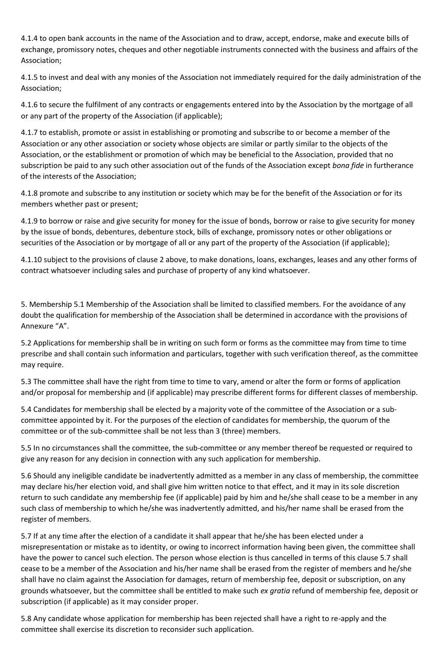4.1.4 to open bank accounts in the name of the Association and to draw, accept, endorse, make and execute bills of exchange, promissory notes, cheques and other negotiable instruments connected with the business and affairs of the Association;

4.1.5 to invest and deal with any monies of the Association not immediately required for the daily administration of the Association;

4.1.6 to secure the fulfilment of any contracts or engagements entered into by the Association by the mortgage of all or any part of the property of the Association (if applicable);

4.1.7 to establish, promote or assist in establishing or promoting and subscribe to or become a member of the Association or any other association or society whose objects are similar or partly similar to the objects of the Association, or the establishment or promotion of which may be beneficial to the Association, provided that no subscription be paid to any such other association out of the funds of the Association except *bona fide* in furtherance of the interests of the Association;

4.1.8 promote and subscribe to any institution or society which may be for the benefit of the Association or for its members whether past or present;

4.1.9 to borrow or raise and give security for money for the issue of bonds, borrow or raise to give security for money by the issue of bonds, debentures, debenture stock, bills of exchange, promissory notes or other obligations or securities of the Association or by mortgage of all or any part of the property of the Association (if applicable);

4.1.10 subject to the provisions of clause 2 above, to make donations, loans, exchanges, leases and any other forms of contract whatsoever including sales and purchase of property of any kind whatsoever.

5. Membership 5.1 Membership of the Association shall be limited to classified members. For the avoidance of any doubt the qualification for membership of the Association shall be determined in accordance with the provisions of Annexure "A".

5.2 Applications for membership shall be in writing on such form or forms as the committee may from time to time prescribe and shall contain such information and particulars, together with such verification thereof, as the committee may require.

5.3 The committee shall have the right from time to time to vary, amend or alter the form or forms of application and/or proposal for membership and (if applicable) may prescribe different forms for different classes of membership.

5.4 Candidates for membership shall be elected by a majority vote of the committee of the Association or a subcommittee appointed by it. For the purposes of the election of candidates for membership, the quorum of the committee or of the sub-committee shall be not less than 3 (three) members.

5.5 In no circumstances shall the committee, the sub-committee or any member thereof be requested or required to give any reason for any decision in connection with any such application for membership.

5.6 Should any ineligible candidate be inadvertently admitted as a member in any class of membership, the committee may declare his/her election void, and shall give him written notice to that effect, and it may in its sole discretion return to such candidate any membership fee (if applicable) paid by him and he/she shall cease to be a member in any such class of membership to which he/she was inadvertently admitted, and his/her name shall be erased from the register of members.

5.7 If at any time after the election of a candidate it shall appear that he/she has been elected under a misrepresentation or mistake as to identity, or owing to incorrect information having been given, the committee shall have the power to cancel such election. The person whose election is thus cancelled in terms of this clause 5.7 shall cease to be a member of the Association and his/her name shall be erased from the register of members and he/she shall have no claim against the Association for damages, return of membership fee, deposit or subscription, on any grounds whatsoever, but the committee shall be entitled to make such *ex gratia* refund of membership fee, deposit or subscription (if applicable) as it may consider proper.

5.8 Any candidate whose application for membership has been rejected shall have a right to re-apply and the committee shall exercise its discretion to reconsider such application.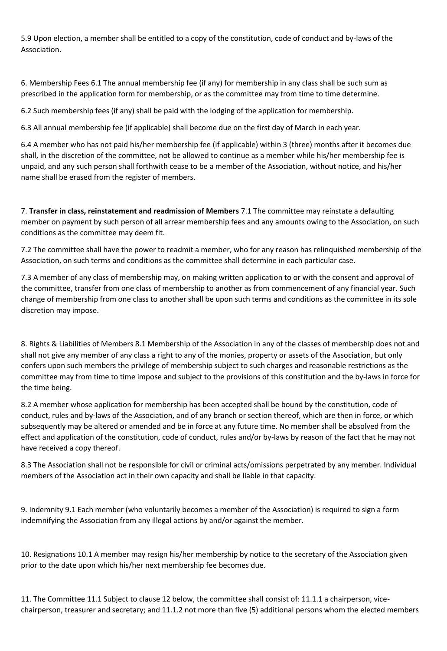5.9 Upon election, a member shall be entitled to a copy of the constitution, code of conduct and by-laws of the Association.

6. Membership Fees 6.1 The annual membership fee (if any) for membership in any class shall be such sum as prescribed in the application form for membership, or as the committee may from time to time determine.

6.2 Such membership fees (if any) shall be paid with the lodging of the application for membership.

6.3 All annual membership fee (if applicable) shall become due on the first day of March in each year.

6.4 A member who has not paid his/her membership fee (if applicable) within 3 (three) months after it becomes due shall, in the discretion of the committee, not be allowed to continue as a member while his/her membership fee is unpaid, and any such person shall forthwith cease to be a member of the Association, without notice, and his/her name shall be erased from the register of members.

7. **Transfer in class, reinstatement and readmission of Members** 7.1 The committee may reinstate a defaulting member on payment by such person of all arrear membership fees and any amounts owing to the Association, on such conditions as the committee may deem fit.

7.2 The committee shall have the power to readmit a member, who for any reason has relinquished membership of the Association, on such terms and conditions as the committee shall determine in each particular case.

7.3 A member of any class of membership may, on making written application to or with the consent and approval of the committee, transfer from one class of membership to another as from commencement of any financial year. Such change of membership from one class to another shall be upon such terms and conditions as the committee in its sole discretion may impose.

8. Rights & Liabilities of Members 8.1 Membership of the Association in any of the classes of membership does not and shall not give any member of any class a right to any of the monies, property or assets of the Association, but only confers upon such members the privilege of membership subject to such charges and reasonable restrictions as the committee may from time to time impose and subject to the provisions of this constitution and the by-laws in force for the time being.

8.2 A member whose application for membership has been accepted shall be bound by the constitution, code of conduct, rules and by-laws of the Association, and of any branch or section thereof, which are then in force, or which subsequently may be altered or amended and be in force at any future time. No member shall be absolved from the effect and application of the constitution, code of conduct, rules and/or by-laws by reason of the fact that he may not have received a copy thereof.

8.3 The Association shall not be responsible for civil or criminal acts/omissions perpetrated by any member. Individual members of the Association act in their own capacity and shall be liable in that capacity.

9. Indemnity 9.1 Each member (who voluntarily becomes a member of the Association) is required to sign a form indemnifying the Association from any illegal actions by and/or against the member.

10. Resignations 10.1 A member may resign his/her membership by notice to the secretary of the Association given prior to the date upon which his/her next membership fee becomes due.

11. The Committee 11.1 Subject to clause 12 below, the committee shall consist of: 11.1.1 a chairperson, vicechairperson, treasurer and secretary; and 11.1.2 not more than five (5) additional persons whom the elected members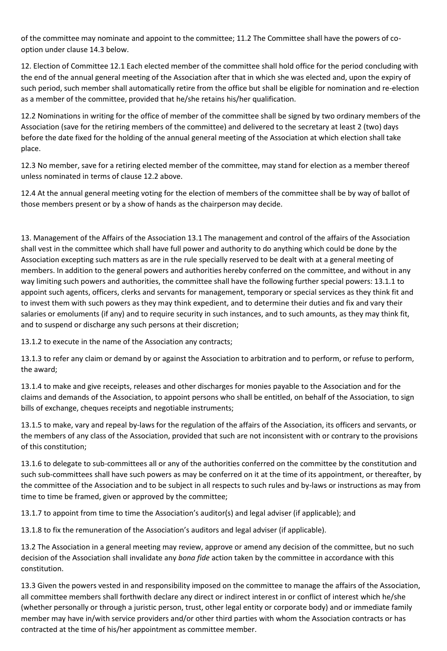of the committee may nominate and appoint to the committee; 11.2 The Committee shall have the powers of cooption under clause 14.3 below.

12. Election of Committee 12.1 Each elected member of the committee shall hold office for the period concluding with the end of the annual general meeting of the Association after that in which she was elected and, upon the expiry of such period, such member shall automatically retire from the office but shall be eligible for nomination and re-election as a member of the committee, provided that he/she retains his/her qualification.

12.2 Nominations in writing for the office of member of the committee shall be signed by two ordinary members of the Association (save for the retiring members of the committee) and delivered to the secretary at least 2 (two) days before the date fixed for the holding of the annual general meeting of the Association at which election shall take place.

12.3 No member, save for a retiring elected member of the committee, may stand for election as a member thereof unless nominated in terms of clause 12.2 above.

12.4 At the annual general meeting voting for the election of members of the committee shall be by way of ballot of those members present or by a show of hands as the chairperson may decide.

13. Management of the Affairs of the Association 13.1 The management and control of the affairs of the Association shall vest in the committee which shall have full power and authority to do anything which could be done by the Association excepting such matters as are in the rule specially reserved to be dealt with at a general meeting of members. In addition to the general powers and authorities hereby conferred on the committee, and without in any way limiting such powers and authorities, the committee shall have the following further special powers: 13.1.1 to appoint such agents, officers, clerks and servants for management, temporary or special services as they think fit and to invest them with such powers as they may think expedient, and to determine their duties and fix and vary their salaries or emoluments (if any) and to require security in such instances, and to such amounts, as they may think fit, and to suspend or discharge any such persons at their discretion;

13.1.2 to execute in the name of the Association any contracts;

13.1.3 to refer any claim or demand by or against the Association to arbitration and to perform, or refuse to perform, the award;

13.1.4 to make and give receipts, releases and other discharges for monies payable to the Association and for the claims and demands of the Association, to appoint persons who shall be entitled, on behalf of the Association, to sign bills of exchange, cheques receipts and negotiable instruments;

13.1.5 to make, vary and repeal by-laws for the regulation of the affairs of the Association, its officers and servants, or the members of any class of the Association, provided that such are not inconsistent with or contrary to the provisions of this constitution;

13.1.6 to delegate to sub-committees all or any of the authorities conferred on the committee by the constitution and such sub-committees shall have such powers as may be conferred on it at the time of its appointment, or thereafter, by the committee of the Association and to be subject in all respects to such rules and by-laws or instructions as may from time to time be framed, given or approved by the committee;

13.1.7 to appoint from time to time the Association's auditor(s) and legal adviser (if applicable); and

13.1.8 to fix the remuneration of the Association's auditors and legal adviser (if applicable).

13.2 The Association in a general meeting may review, approve or amend any decision of the committee, but no such decision of the Association shall invalidate any *bona fide* action taken by the committee in accordance with this constitution.

13.3 Given the powers vested in and responsibility imposed on the committee to manage the affairs of the Association, all committee members shall forthwith declare any direct or indirect interest in or conflict of interest which he/she (whether personally or through a juristic person, trust, other legal entity or corporate body) and or immediate family member may have in/with service providers and/or other third parties with whom the Association contracts or has contracted at the time of his/her appointment as committee member.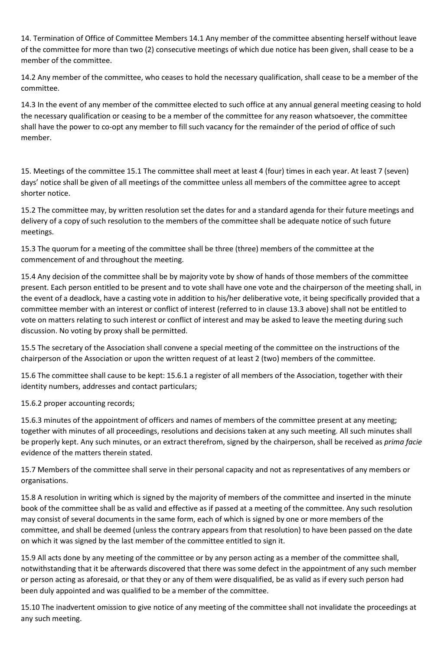14. Termination of Office of Committee Members 14.1 Any member of the committee absenting herself without leave of the committee for more than two (2) consecutive meetings of which due notice has been given, shall cease to be a member of the committee.

14.2 Any member of the committee, who ceases to hold the necessary qualification, shall cease to be a member of the committee.

14.3 In the event of any member of the committee elected to such office at any annual general meeting ceasing to hold the necessary qualification or ceasing to be a member of the committee for any reason whatsoever, the committee shall have the power to co-opt any member to fill such vacancy for the remainder of the period of office of such member.

15. Meetings of the committee 15.1 The committee shall meet at least 4 (four) times in each year. At least 7 (seven) days' notice shall be given of all meetings of the committee unless all members of the committee agree to accept shorter notice.

15.2 The committee may, by written resolution set the dates for and a standard agenda for their future meetings and delivery of a copy of such resolution to the members of the committee shall be adequate notice of such future meetings.

15.3 The quorum for a meeting of the committee shall be three (three) members of the committee at the commencement of and throughout the meeting.

15.4 Any decision of the committee shall be by majority vote by show of hands of those members of the committee present. Each person entitled to be present and to vote shall have one vote and the chairperson of the meeting shall, in the event of a deadlock, have a casting vote in addition to his/her deliberative vote, it being specifically provided that a committee member with an interest or conflict of interest (referred to in clause 13.3 above) shall not be entitled to vote on matters relating to such interest or conflict of interest and may be asked to leave the meeting during such discussion. No voting by proxy shall be permitted.

15.5 The secretary of the Association shall convene a special meeting of the committee on the instructions of the chairperson of the Association or upon the written request of at least 2 (two) members of the committee.

15.6 The committee shall cause to be kept: 15.6.1 a register of all members of the Association, together with their identity numbers, addresses and contact particulars;

15.6.2 proper accounting records;

15.6.3 minutes of the appointment of officers and names of members of the committee present at any meeting; together with minutes of all proceedings, resolutions and decisions taken at any such meeting. All such minutes shall be properly kept. Any such minutes, or an extract therefrom, signed by the chairperson, shall be received as *prima facie*  evidence of the matters therein stated.

15.7 Members of the committee shall serve in their personal capacity and not as representatives of any members or organisations.

15.8 A resolution in writing which is signed by the majority of members of the committee and inserted in the minute book of the committee shall be as valid and effective as if passed at a meeting of the committee. Any such resolution may consist of several documents in the same form, each of which is signed by one or more members of the committee, and shall be deemed (unless the contrary appears from that resolution) to have been passed on the date on which it was signed by the last member of the committee entitled to sign it.

15.9 All acts done by any meeting of the committee or by any person acting as a member of the committee shall, notwithstanding that it be afterwards discovered that there was some defect in the appointment of any such member or person acting as aforesaid, or that they or any of them were disqualified, be as valid as if every such person had been duly appointed and was qualified to be a member of the committee.

15.10 The inadvertent omission to give notice of any meeting of the committee shall not invalidate the proceedings at any such meeting.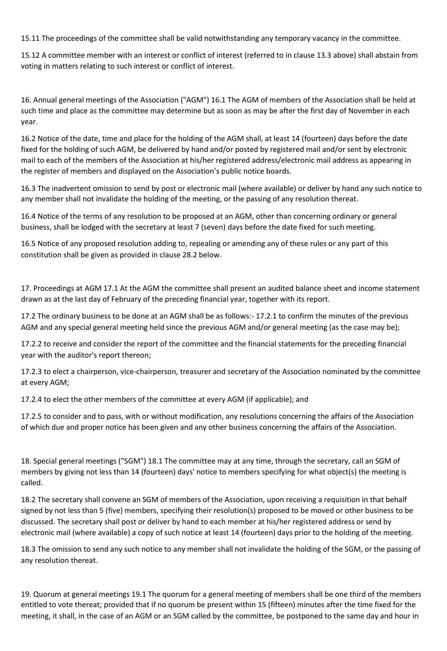15.11 The proceedings of the committee shall be valid notwithstanding any temporary vacancy in the committee.

15.12 A committee member with an interest or conflict of interest (referred to in clause 13.3 above) shall abstain from voting in matters relating to such interest or conflict of interest.

16. Annual general meetings of the Association ("AGM") 16.1 The AGM of members of the Association shall be held at such time and place as the committee may determine but as soon as may be after the first day of November in each year.

16.2 Notice of the date, time and place for the holding of the AGM shall, at least 14 (fourteen) days before the date fixed for the holding of such AGM, be delivered by hand and/or posted by registered mail and/or sent by electronic mail to each of the members of the Association at his/her registered address/electronic mail address as appearing in the register of members and displayed on the Association's public notice boards.

16.3 The inadvertent omission to send by post or electronic mail (where available) or deliver by hand any such notice to any member shall not invalidate the holding of the meeting, or the passing of any resolution thereat.

16.4 Notice of the terms of any resolution to be proposed at an AGM, other than concerning ordinary or general business, shall be lodged with the secretary at least 7 (seven) days before the date fixed for such meeting.

16.5 Notice of any proposed resolution adding to, repealing or amending any of these rules or any part of this constitution shall be given as provided in clause 28.2 below.

17. Proceedings at AGM 17.1 At the AGM the committee shall present an audited balance sheet and income statement drawn as at the last day of February of the preceding financial year, together with its report.

17.2 The ordinary business to be done at an AGM shall be as follows:- 17.2.1 to confirm the minutes of the previous AGM and any special general meeting held since the previous AGM and/or general meeting (as the case may be);

17.2.2 to receive and consider the report of the committee and the financial statements for the preceding financial year with the auditor's report thereon;

17.2.3 to elect a chairperson, vice-chairperson, treasurer and secretary of the Association nominated by the committee at every AGM;

17.2.4 to elect the other members of the committee at every AGM (if applicable); and

17.2.5 to consider and to pass, with or without modification, any resolutions concerning the affairs of the Association of which due and proper notice has been given and any other business concerning the affairs of the Association.

18. Special general meetings ("SGM") 18.1 The committee may at any time, through the secretary, call an SGM of members by giving not less than 14 (fourteen) days' notice to members specifying for what object(s) the meeting is called.

18.2 The secretary shall convene an SGM of members of the Association, upon receiving a requisition in that behalf signed by not less than 5 (five) members, specifying their resolution(s) proposed to be moved or other business to be discussed. The secretary shall post or deliver by hand to each member at his/her registered address or send by electronic mail (where available) a copy of such notice at least 14 (fourteen) days prior to the holding of the meeting.

18.3 The omission to send any such notice to any member shall not invalidate the holding of the SGM, or the passing of any resolution thereat.

19. Quorum at general meetings 19.1 The quorum for a general meeting of members shall be one third of the members entitled to vote thereat; provided that if no quorum be present within 15 (fifteen) minutes after the time fixed for the meeting, it shall, in the case of an AGM or an SGM called by the committee, be postponed to the same day and hour in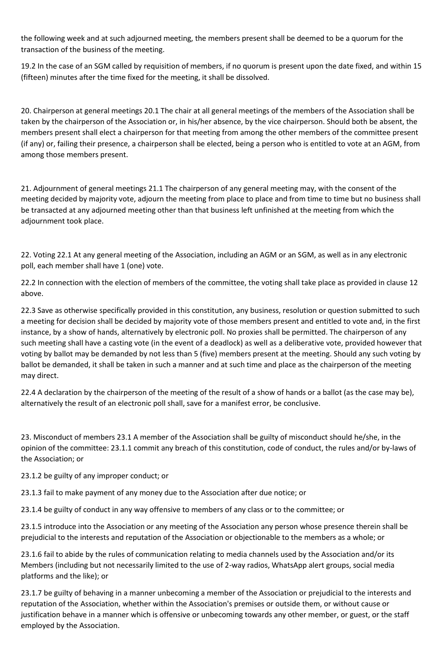the following week and at such adjourned meeting, the members present shall be deemed to be a quorum for the transaction of the business of the meeting.

19.2 In the case of an SGM called by requisition of members, if no quorum is present upon the date fixed, and within 15 (fifteen) minutes after the time fixed for the meeting, it shall be dissolved.

20. Chairperson at general meetings 20.1 The chair at all general meetings of the members of the Association shall be taken by the chairperson of the Association or, in his/her absence, by the vice chairperson. Should both be absent, the members present shall elect a chairperson for that meeting from among the other members of the committee present (if any) or, failing their presence, a chairperson shall be elected, being a person who is entitled to vote at an AGM, from among those members present.

21. Adjournment of general meetings 21.1 The chairperson of any general meeting may, with the consent of the meeting decided by majority vote, adjourn the meeting from place to place and from time to time but no business shall be transacted at any adjourned meeting other than that business left unfinished at the meeting from which the adjournment took place.

22. Voting 22.1 At any general meeting of the Association, including an AGM or an SGM, as well as in any electronic poll, each member shall have 1 (one) vote.

22.2 In connection with the election of members of the committee, the voting shall take place as provided in clause 12 above.

22.3 Save as otherwise specifically provided in this constitution, any business, resolution or question submitted to such a meeting for decision shall be decided by majority vote of those members present and entitled to vote and, in the first instance, by a show of hands, alternatively by electronic poll. No proxies shall be permitted. The chairperson of any such meeting shall have a casting vote (in the event of a deadlock) as well as a deliberative vote, provided however that voting by ballot may be demanded by not less than 5 (five) members present at the meeting. Should any such voting by ballot be demanded, it shall be taken in such a manner and at such time and place as the chairperson of the meeting may direct.

22.4 A declaration by the chairperson of the meeting of the result of a show of hands or a ballot (as the case may be), alternatively the result of an electronic poll shall, save for a manifest error, be conclusive.

23. Misconduct of members 23.1 A member of the Association shall be guilty of misconduct should he/she, in the opinion of the committee: 23.1.1 commit any breach of this constitution, code of conduct, the rules and/or by-laws of the Association; or

23.1.2 be guilty of any improper conduct; or

23.1.3 fail to make payment of any money due to the Association after due notice; or

23.1.4 be guilty of conduct in any way offensive to members of any class or to the committee; or

23.1.5 introduce into the Association or any meeting of the Association any person whose presence therein shall be prejudicial to the interests and reputation of the Association or objectionable to the members as a whole; or

23.1.6 fail to abide by the rules of communication relating to media channels used by the Association and/or its Members (including but not necessarily limited to the use of 2-way radios, WhatsApp alert groups, social media platforms and the like); or

23.1.7 be guilty of behaving in a manner unbecoming a member of the Association or prejudicial to the interests and reputation of the Association, whether within the Association's premises or outside them, or without cause or justification behave in a manner which is offensive or unbecoming towards any other member, or guest, or the staff employed by the Association.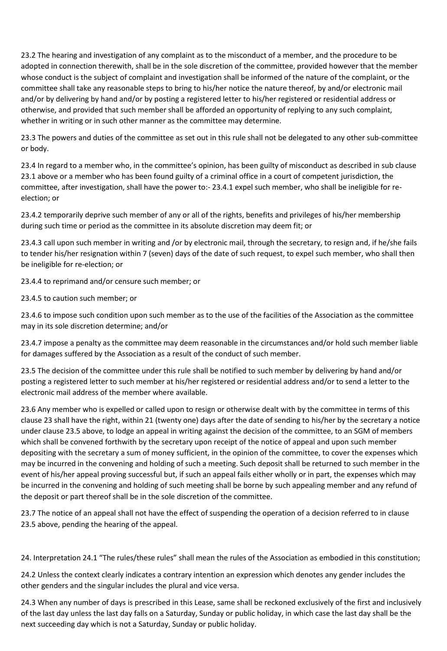23.2 The hearing and investigation of any complaint as to the misconduct of a member, and the procedure to be adopted in connection therewith, shall be in the sole discretion of the committee, provided however that the member whose conduct is the subject of complaint and investigation shall be informed of the nature of the complaint, or the committee shall take any reasonable steps to bring to his/her notice the nature thereof, by and/or electronic mail and/or by delivering by hand and/or by posting a registered letter to his/her registered or residential address or otherwise, and provided that such member shall be afforded an opportunity of replying to any such complaint, whether in writing or in such other manner as the committee may determine.

23.3 The powers and duties of the committee as set out in this rule shall not be delegated to any other sub-committee or body.

23.4 In regard to a member who, in the committee's opinion, has been guilty of misconduct as described in sub clause 23.1 above or a member who has been found guilty of a criminal office in a court of competent jurisdiction, the committee, after investigation, shall have the power to:- 23.4.1 expel such member, who shall be ineligible for reelection; or

23.4.2 temporarily deprive such member of any or all of the rights, benefits and privileges of his/her membership during such time or period as the committee in its absolute discretion may deem fit; or

23.4.3 call upon such member in writing and /or by electronic mail, through the secretary, to resign and, if he/she fails to tender his/her resignation within 7 (seven) days of the date of such request, to expel such member, who shall then be ineligible for re-election; or

23.4.4 to reprimand and/or censure such member; or

23.4.5 to caution such member; or

23.4.6 to impose such condition upon such member as to the use of the facilities of the Association as the committee may in its sole discretion determine; and/or

23.4.7 impose a penalty as the committee may deem reasonable in the circumstances and/or hold such member liable for damages suffered by the Association as a result of the conduct of such member.

23.5 The decision of the committee under this rule shall be notified to such member by delivering by hand and/or posting a registered letter to such member at his/her registered or residential address and/or to send a letter to the electronic mail address of the member where available.

23.6 Any member who is expelled or called upon to resign or otherwise dealt with by the committee in terms of this clause 23 shall have the right, within 21 (twenty one) days after the date of sending to his/her by the secretary a notice under clause 23.5 above, to lodge an appeal in writing against the decision of the committee, to an SGM of members which shall be convened forthwith by the secretary upon receipt of the notice of appeal and upon such member depositing with the secretary a sum of money sufficient, in the opinion of the committee, to cover the expenses which may be incurred in the convening and holding of such a meeting. Such deposit shall be returned to such member in the event of his/her appeal proving successful but, if such an appeal fails either wholly or in part, the expenses which may be incurred in the convening and holding of such meeting shall be borne by such appealing member and any refund of the deposit or part thereof shall be in the sole discretion of the committee.

23.7 The notice of an appeal shall not have the effect of suspending the operation of a decision referred to in clause 23.5 above, pending the hearing of the appeal.

24. Interpretation 24.1 "The rules/these rules" shall mean the rules of the Association as embodied in this constitution;

24.2 Unless the context clearly indicates a contrary intention an expression which denotes any gender includes the other genders and the singular includes the plural and vice versa.

24.3 When any number of days is prescribed in this Lease, same shall be reckoned exclusively of the first and inclusively of the last day unless the last day falls on a Saturday, Sunday or public holiday, in which case the last day shall be the next succeeding day which is not a Saturday, Sunday or public holiday.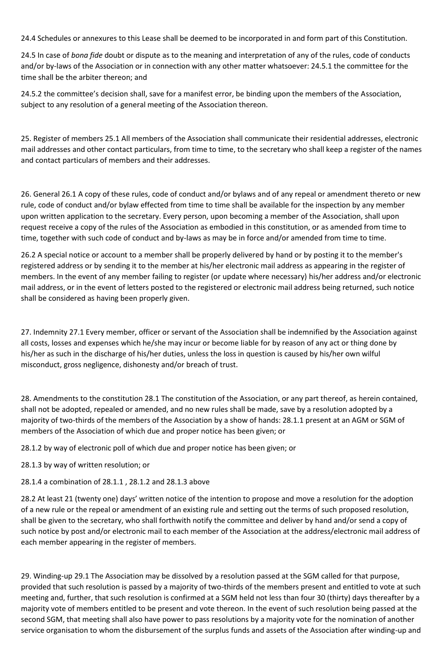24.4 Schedules or annexures to this Lease shall be deemed to be incorporated in and form part of this Constitution.

24.5 In case of *bona fide* doubt or dispute as to the meaning and interpretation of any of the rules, code of conducts and/or by-laws of the Association or in connection with any other matter whatsoever: 24.5.1 the committee for the time shall be the arbiter thereon; and

24.5.2 the committee's decision shall, save for a manifest error, be binding upon the members of the Association, subject to any resolution of a general meeting of the Association thereon.

25. Register of members 25.1 All members of the Association shall communicate their residential addresses, electronic mail addresses and other contact particulars, from time to time, to the secretary who shall keep a register of the names and contact particulars of members and their addresses.

26. General 26.1 A copy of these rules, code of conduct and/or bylaws and of any repeal or amendment thereto or new rule, code of conduct and/or bylaw effected from time to time shall be available for the inspection by any member upon written application to the secretary. Every person, upon becoming a member of the Association, shall upon request receive a copy of the rules of the Association as embodied in this constitution, or as amended from time to time, together with such code of conduct and by-laws as may be in force and/or amended from time to time.

26.2 A special notice or account to a member shall be properly delivered by hand or by posting it to the member's registered address or by sending it to the member at his/her electronic mail address as appearing in the register of members. In the event of any member failing to register (or update where necessary) his/her address and/or electronic mail address, or in the event of letters posted to the registered or electronic mail address being returned, such notice shall be considered as having been properly given.

27. Indemnity 27.1 Every member, officer or servant of the Association shall be indemnified by the Association against all costs, losses and expenses which he/she may incur or become liable for by reason of any act or thing done by his/her as such in the discharge of his/her duties, unless the loss in question is caused by his/her own wilful misconduct, gross negligence, dishonesty and/or breach of trust.

28. Amendments to the constitution 28.1 The constitution of the Association, or any part thereof, as herein contained, shall not be adopted, repealed or amended, and no new rules shall be made, save by a resolution adopted by a majority of two-thirds of the members of the Association by a show of hands: 28.1.1 present at an AGM or SGM of members of the Association of which due and proper notice has been given; or

28.1.2 by way of electronic poll of which due and proper notice has been given; or

- 28.1.3 by way of written resolution; or
- 28.1.4 a combination of 28.1.1 , 28.1.2 and 28.1.3 above

28.2 At least 21 (twenty one) days' written notice of the intention to propose and move a resolution for the adoption of a new rule or the repeal or amendment of an existing rule and setting out the terms of such proposed resolution, shall be given to the secretary, who shall forthwith notify the committee and deliver by hand and/or send a copy of such notice by post and/or electronic mail to each member of the Association at the address/electronic mail address of each member appearing in the register of members.

29. Winding-up 29.1 The Association may be dissolved by a resolution passed at the SGM called for that purpose, provided that such resolution is passed by a majority of two-thirds of the members present and entitled to vote at such meeting and, further, that such resolution is confirmed at a SGM held not less than four 30 (thirty) days thereafter by a majority vote of members entitled to be present and vote thereon. In the event of such resolution being passed at the second SGM, that meeting shall also have power to pass resolutions by a majority vote for the nomination of another service organisation to whom the disbursement of the surplus funds and assets of the Association after winding-up and